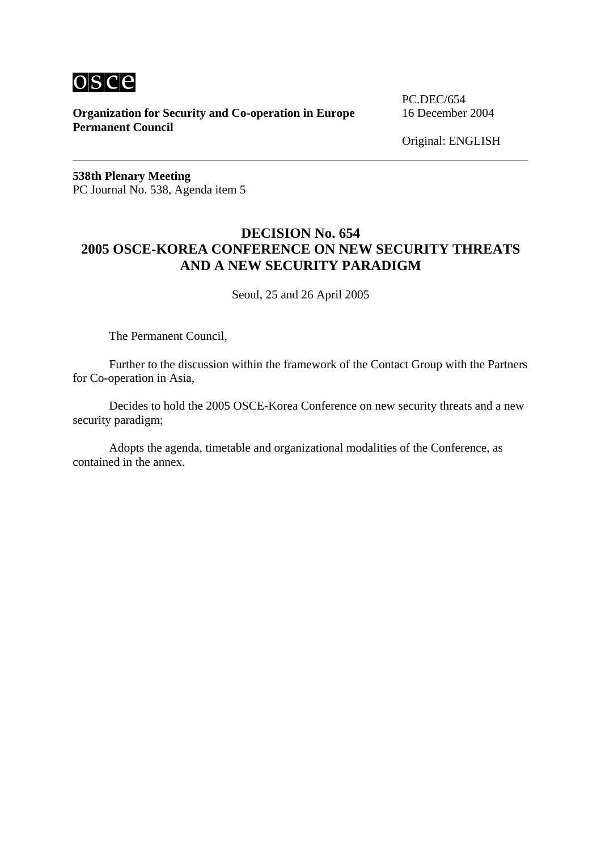

**Organization for Security and Co-operation in Europe** 16 December 2004 **Permanent Council**

PC.DEC/654

Original: ENGLISH

**538th Plenary Meeting**  PC Journal No. 538, Agenda item 5

## **DECISION No. 654 2005 OSCE-KOREA CONFERENCE ON NEW SECURITY THREATS AND A NEW SECURITY PARADIGM**

Seoul, 25 and 26 April 2005

The Permanent Council,

 Further to the discussion within the framework of the Contact Group with the Partners for Co-operation in Asia,

 Decides to hold the 2005 OSCE-Korea Conference on new security threats and a new security paradigm;

 Adopts the agenda, timetable and organizational modalities of the Conference, as contained in the annex.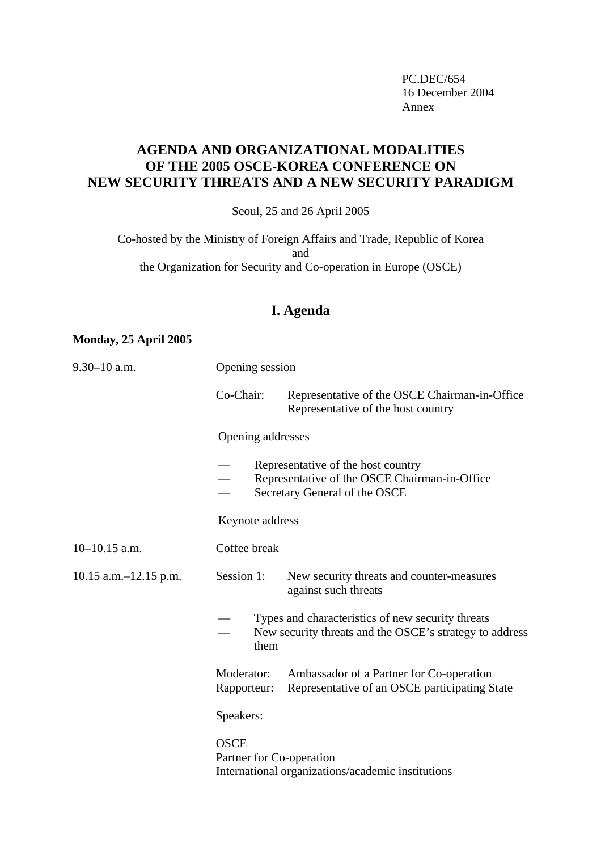PC.DEC/654 16 December 2004 Annex and the state of the state of the state of the state of the state of the state of the state of the state of the state of the state of the state of the state of the state of the state of the state of the state of the

# **AGENDA AND ORGANIZATIONAL MODALITIES OF THE 2005 OSCE-KOREA CONFERENCE ON NEW SECURITY THREATS AND A NEW SECURITY PARADIGM**

Seoul, 25 and 26 April 2005

Co-hosted by the Ministry of Foreign Affairs and Trade, Republic of Korea and the Organization for Security and Co-operation in Europe (OSCE)

# **I. Agenda**

### **Monday, 25 April 2005**

| $9.30 - 10$ a.m.           | Opening session                                                                              |           |                                                                                                                      |  |  |
|----------------------------|----------------------------------------------------------------------------------------------|-----------|----------------------------------------------------------------------------------------------------------------------|--|--|
|                            |                                                                                              | Co-Chair: | Representative of the OSCE Chairman-in-Office<br>Representative of the host country                                  |  |  |
|                            | Opening addresses                                                                            |           |                                                                                                                      |  |  |
|                            |                                                                                              |           | Representative of the host country<br>Representative of the OSCE Chairman-in-Office<br>Secretary General of the OSCE |  |  |
|                            | Keynote address                                                                              |           |                                                                                                                      |  |  |
| $10-10.15$ a.m.            | Coffee break                                                                                 |           |                                                                                                                      |  |  |
| $10.15$ a.m. $-12.15$ p.m. | Session 1:                                                                                   |           | New security threats and counter-measures<br>against such threats                                                    |  |  |
|                            |                                                                                              | them      | Types and characteristics of new security threats<br>New security threats and the OSCE's strategy to address         |  |  |
|                            | Moderator:<br>Rapporteur:                                                                    |           | Ambassador of a Partner for Co-operation<br>Representative of an OSCE participating State                            |  |  |
|                            | Speakers:                                                                                    |           |                                                                                                                      |  |  |
|                            | <b>OSCE</b><br>Partner for Co-operation<br>International organizations/academic institutions |           |                                                                                                                      |  |  |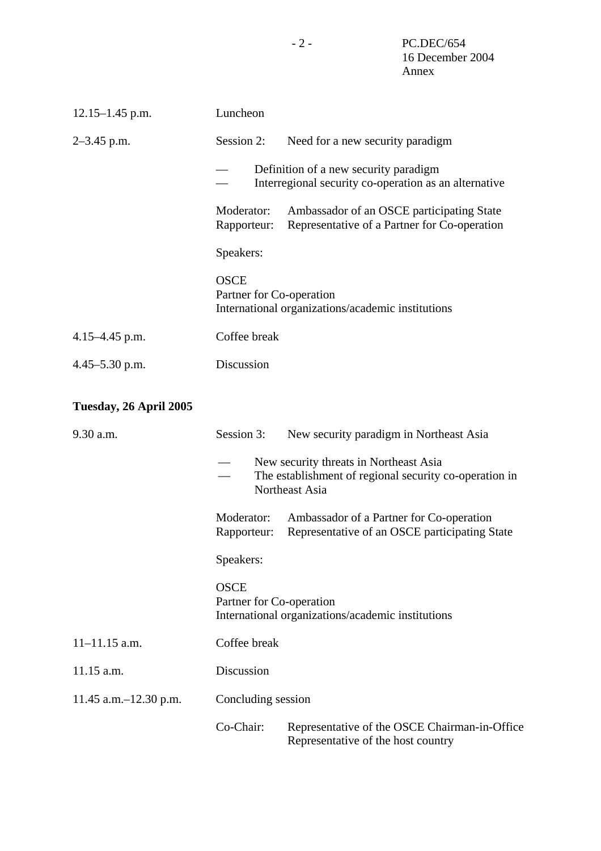| $12.15 - 1.45$ p.m. | Luncheon                                                                                       |                                                                                           |  |  |  |
|---------------------|------------------------------------------------------------------------------------------------|-------------------------------------------------------------------------------------------|--|--|--|
| $2-3.45$ p.m.       | Session 2:                                                                                     | Need for a new security paradigm                                                          |  |  |  |
|                     | Definition of a new security paradigm<br>Interregional security co-operation as an alternative |                                                                                           |  |  |  |
|                     | Moderator:<br>Rapporteur:                                                                      | Ambassador of an OSCE participating State<br>Representative of a Partner for Co-operation |  |  |  |
|                     | Speakers:                                                                                      |                                                                                           |  |  |  |
|                     | <b>OSCE</b><br>Partner for Co-operation<br>International organizations/academic institutions   |                                                                                           |  |  |  |
| $4.15 - 4.45$ p.m.  | Coffee break                                                                                   |                                                                                           |  |  |  |
| $4.45 - 5.30$ p.m.  | Discussion                                                                                     |                                                                                           |  |  |  |
|                     |                                                                                                |                                                                                           |  |  |  |

# **Tuesday, 26 April 2005**

| $9.30$ a.m.              | Session 3:                                                                                   | New security paradigm in Northeast Asia                                                                            |  |  |  |  |
|--------------------------|----------------------------------------------------------------------------------------------|--------------------------------------------------------------------------------------------------------------------|--|--|--|--|
|                          |                                                                                              | New security threats in Northeast Asia<br>The establishment of regional security co-operation in<br>Northeast Asia |  |  |  |  |
|                          | Moderator:<br>Rapporteur:                                                                    | Ambassador of a Partner for Co-operation<br>Representative of an OSCE participating State                          |  |  |  |  |
|                          | Speakers:                                                                                    |                                                                                                                    |  |  |  |  |
|                          | <b>OSCE</b><br>Partner for Co-operation<br>International organizations/academic institutions |                                                                                                                    |  |  |  |  |
| $11 - 11.15$ a.m.        | Coffee break                                                                                 |                                                                                                                    |  |  |  |  |
| 11.15 a.m.               | Discussion                                                                                   |                                                                                                                    |  |  |  |  |
| 11.45 a.m. $-12.30$ p.m. | Concluding session                                                                           |                                                                                                                    |  |  |  |  |
|                          | Co-Chair:                                                                                    | Representative of the OSCE Chairman-in-Office<br>Representative of the host country                                |  |  |  |  |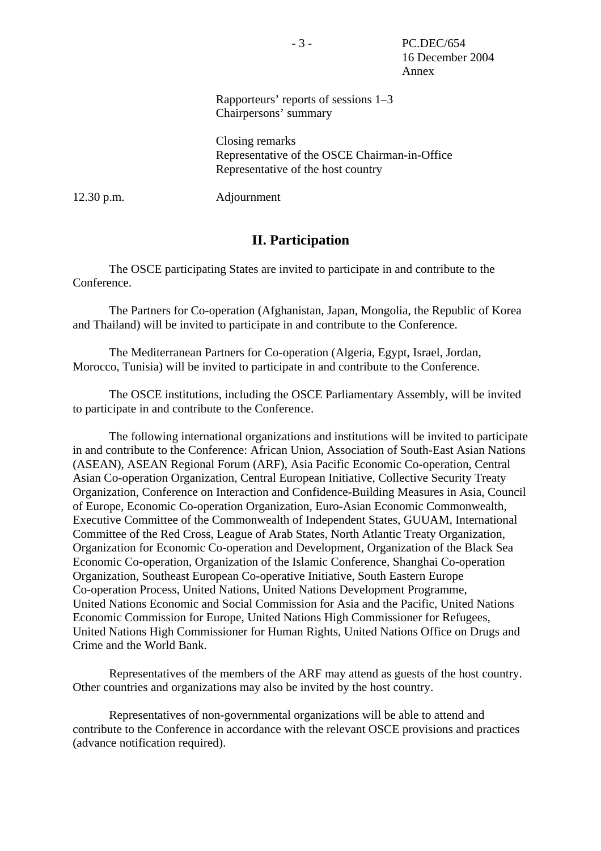### Rapporteurs' reports of sessions 1–3 Chairpersons' summary

Closing remarks Representative of the OSCE Chairman-in-Office Representative of the host country

12.30 p.m. Adjournment

### **II. Participation**

 The OSCE participating States are invited to participate in and contribute to the Conference.

 The Partners for Co-operation (Afghanistan, Japan, Mongolia, the Republic of Korea and Thailand) will be invited to participate in and contribute to the Conference.

 The Mediterranean Partners for Co-operation (Algeria, Egypt, Israel, Jordan, Morocco, Tunisia) will be invited to participate in and contribute to the Conference.

 The OSCE institutions, including the OSCE Parliamentary Assembly, will be invited to participate in and contribute to the Conference.

 The following international organizations and institutions will be invited to participate in and contribute to the Conference: African Union, Association of South-East Asian Nations (ASEAN), ASEAN Regional Forum (ARF), Asia Pacific Economic Co-operation, Central Asian Co-operation Organization, Central European Initiative, Collective Security Treaty Organization, Conference on Interaction and Confidence-Building Measures in Asia, Council of Europe, Economic Co-operation Organization, Euro-Asian Economic Commonwealth, Executive Committee of the Commonwealth of Independent States, GUUAM, International Committee of the Red Cross, League of Arab States, North Atlantic Treaty Organization, Organization for Economic Co-operation and Development, Organization of the Black Sea Economic Co-operation, Organization of the Islamic Conference, Shanghai Co-operation Organization, Southeast European Co-operative Initiative, South Eastern Europe Co-operation Process, United Nations, United Nations Development Programme, United Nations Economic and Social Commission for Asia and the Pacific, United Nations Economic Commission for Europe, United Nations High Commissioner for Refugees, United Nations High Commissioner for Human Rights, United Nations Office on Drugs and Crime and the World Bank.

 Representatives of the members of the ARF may attend as guests of the host country. Other countries and organizations may also be invited by the host country.

 Representatives of non-governmental organizations will be able to attend and contribute to the Conference in accordance with the relevant OSCE provisions and practices (advance notification required).